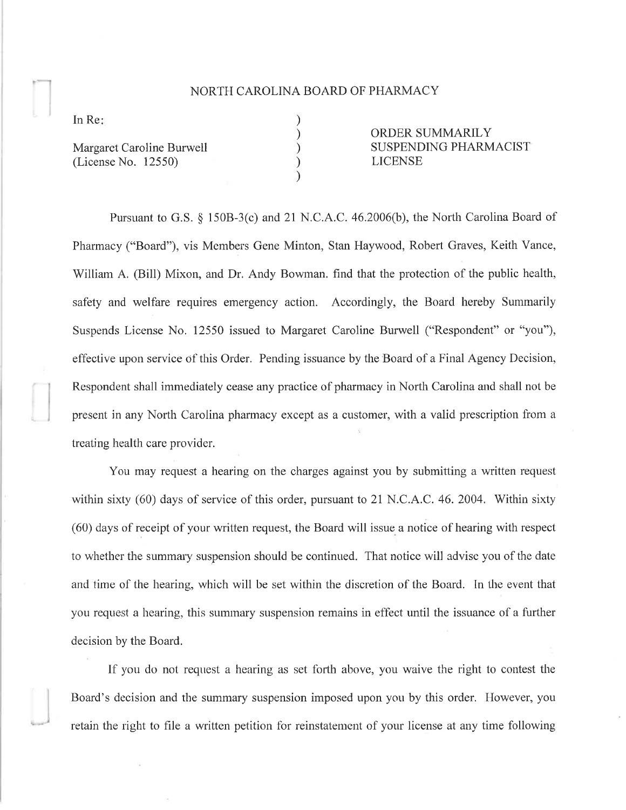## NORTH CAROLINA BOARD OF PHARMACY

) ) ) ) )

In Re

,-,)

Margaret Caroline Burwell (License No. 12550)

ORDER SUMMARILY SUSPENDING PHARMACIST LICENSE

Pursuant to G.S. \$ 1508-3(c) and 2l N.C.A.C. 46.2006(b), the North Carolina Board of Pharmacy ("Board"), vis Members Gene Minton, Stan Haywood, Robert Graves, Keith Vance, 'William A. (Bill) Mixon, and Dr. Andy Bowman. find that the protection of the public health, safety and welfare requires emergency action. Accordingly, the Board hereby Summarily Suspends License No. 12550 issued to Margaret Caroline Burwell ("Respondent" ot "you"), effective upon service of this Order. Pencling issuance by the Board of a Final Agency Decision, Respondent shall immediately cease any practice of pharmacy in North Carolina and shall not be present in any North Carolina pharmacy except as a customer, with a valid prescription from a treating health care provider.

You may request a hearing on the charges against you by submitting a written request within sixty (60) days of service of this order, pursuant to 21 N.C.A.C.46.2004. Within sixty (60) days of receipt of your written request, the Board will issue a notice of hearing with respect to whether the summary suspension should be continued. That notice will advise you of the date and time of the hearing, which will be set within the discretion of the Board. In the event that you request a hearing, this sumrnary suspension remains in effect until the issuance of a further decision by the Board.

If you do not request a hearing as set forth above, you waive the right to contest the Board's decision and the summary suspension imposed upon you by this order. However, you retain the right to file a written petition for reinstatement of your license at any time following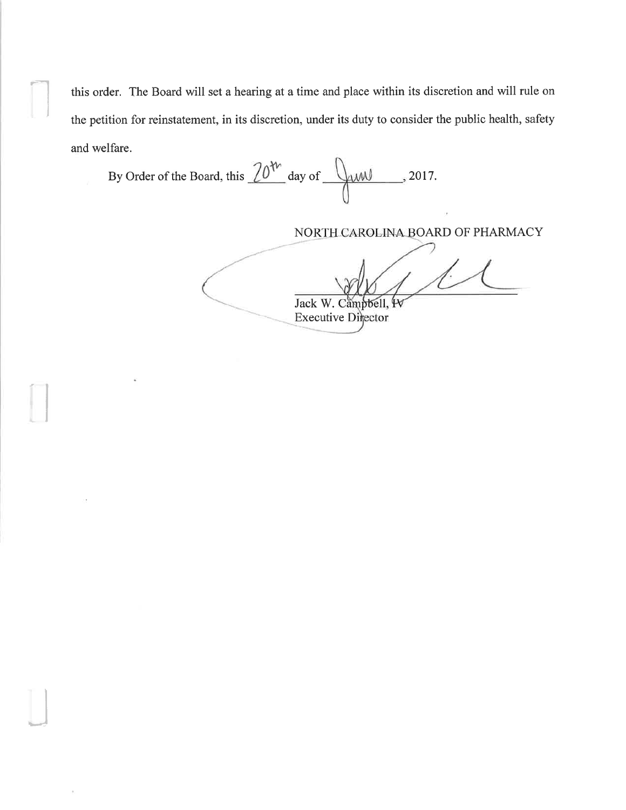this order. The Board will set a hearing at a time and place within its discretion and will rule on the petition for reinstatement, in its discretion, under its duty to consider the public health, safety and welfare.

By Order of the Board, this  $20^{4n}$  day of  $\sqrt{44M}$ , 2017.

I

J

NORTH CAROLINA BOARD OF PHARMACY

ŀ Jack W. Campbell, <sup>4</sup>

**Executive Director**